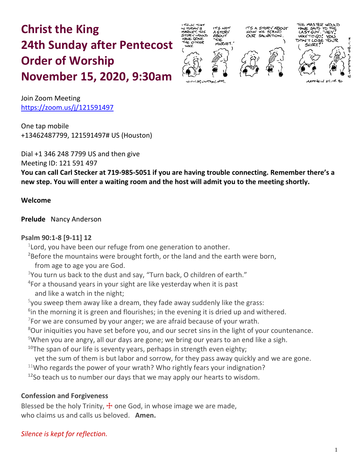# **Christ the King 24th Sunday after Pentecost Order of Worship November 15, 2020, 9:30am**





Join Zoom Meeting https://zoom.us/j/121591497

One tap mobile +13462487799, 121591497# US (Houston)

Dial +1 346 248 7799 US and then give

Meeting ID: 121 591 497

**You can call Carl Stecker at 719-985-5051 if you are having trouble connecting. Remember there's a new step. You will enter a waiting room and the host will admit you to the meeting shortly.**

## **Welcome**

**Prelude** Nancy Anderson

## **Psalm 90:1-8 [9-11] 12**

 $1$ Lord, you have been our refuge from one generation to another.

**<sup>2</sup>**Before the mountains were brought forth, or the land and the earth were born,

from age to age you are God.

 $3$ You turn us back to the dust and say, "Turn back, O children of earth."

**4** For a thousand years in your sight are like yesterday when it is past

and like a watch in the night;

 $5$ you sweep them away like a dream, they fade away suddenly like the grass:

**6** in the morning it is green and flourishes; in the evening it is dried up and withered.

 $7$ For we are consumed by your anger; we are afraid because of your wrath.

**<sup>8</sup>**Our iniquities you have set before you, and our secret sins in the light of your countenance.

<sup>9</sup>When you are angry, all our days are gone; we bring our years to an end like a sigh.

**<sup>10</sup>**The span of our life is seventy years, perhaps in strength even eighty;

yet the sum of them is but labor and sorrow, for they pass away quickly and we are gone.

 $11$ Who regards the power of your wrath? Who rightly fears your indignation?

**<sup>12</sup>**So teach us to number our days that we may apply our hearts to wisdom.

# **Confession and Forgiveness**

Blessed be the holy Trinity,  $\pm$  one God, in whose image we are made, who claims us and calls us beloved. **Amen.**

# *Silence is kept for reflection.*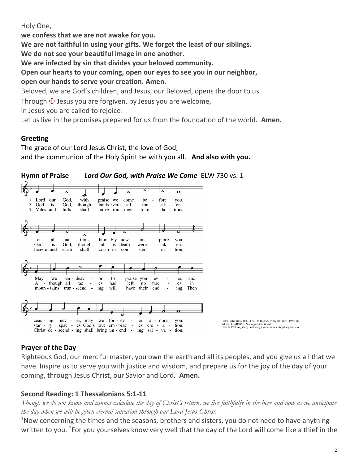Holy One,

**we confess that we are not awake for you. We are not faithful in using your gifts. We forget the least of our siblings. We do not see your beautiful image in one another. We are infected by sin that divides your beloved community. Open our hearts to your coming, open our eyes to see you in our neighbor, open our hands to serve your creation. Amen.** Beloved, we are God's children, and Jesus, our Beloved, opens the door to us. Through  $\pm$  Jesus you are forgiven, by Jesus you are welcome, in Jesus you are called to rejoice!

Let us live in the promises prepared for us from the foundation of the world. **Amen.**

## **Greeting**

The grace of our Lord Jesus Christ, the love of God, and the communion of the Holy Spirit be with you all. **And also with you.**



## **Prayer of the Day**

Righteous God, our merciful master, you own the earth and all its peoples, and you give us all that we have. Inspire us to serve you with justice and wisdom, and prepare us for the joy of the day of your coming, through Jesus Christ, our Savior and Lord. **Amen.**

## **Second Reading: 1 Thessalonians 5:1-11**

*Though we do not know and cannot calculate the day of Christ's return, we live faithfully in the here and now as we anticipate the day when we will be given eternal salvation through our Lord Jesus Christ.*

 $1$ Now concerning the times and the seasons, brothers and sisters, you do not need to have anything written to you. <sup>2</sup>For you yourselves know very well that the day of the Lord will come like a thief in the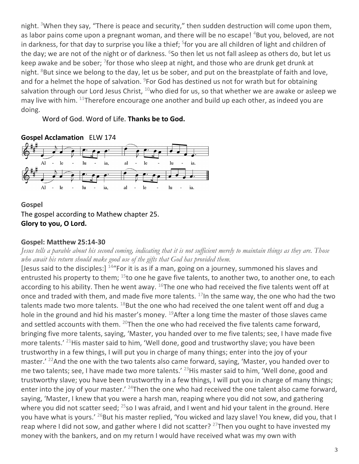night. <sup>3</sup>When they say, "There is peace and security," then sudden destruction will come upon them, as labor pains come upon a pregnant woman, and there will be no escape! <sup>4</sup>But you, beloved, are not in darkness, for that day to surprise you like a thief; <sup>5</sup>for you are all children of light and children of the day; we are not of the night or of darkness. <sup>6</sup>So then let us not fall asleep as others do, but let us keep awake and be sober; <sup>7</sup>for those who sleep at night, and those who are drunk get drunk at night.  $8$ But since we belong to the day, let us be sober, and put on the breastplate of faith and love, and for a helmet the hope of salvation. <sup>9</sup>For God has destined us not for wrath but for obtaining salvation through our Lord Jesus Christ,  $10$ who died for us, so that whether we are awake or asleep we may live with him.  $11$ Therefore encourage one another and build up each other, as indeed you are doing.

Word of God. Word of Life. **Thanks be to God.**



**Gospel** The gospel according to Mathew chapter 25. **Glory to you, O Lord.**

## **Gospel: Matthew 25:14-30**

*Jesus tells a parable about his second coming, indicating that it is not sufficient merely to maintain things as they are. Those who await his return should make good use of the gifts that God has provided them.*

[Jesus said to the disciples:]  $144$  For it is as if a man, going on a journey, summoned his slaves and entrusted his property to them;  $^{15}$ to one he gave five talents, to another two, to another one, to each according to his ability. Then he went away.  $^{16}$ The one who had received the five talents went off at once and traded with them, and made five more talents.  $17$ In the same way, the one who had the two talents made two more talents.  $^{18}$ But the one who had received the one talent went off and dug a hole in the ground and hid his master's money.  $^{19}$ After a long time the master of those slaves came and settled accounts with them.  $^{20}$ Then the one who had received the five talents came forward, bringing five more talents, saying, 'Master, you handed over to me five talents; see, I have made five more talents.' <sup>21</sup>His master said to him, 'Well done, good and trustworthy slave; you have been trustworthy in a few things, I will put you in charge of many things; enter into the joy of your master.<sup>' 22</sup>And the one with the two talents also came forward, saying, 'Master, you handed over to me two talents; see, I have made two more talents.' <sup>23</sup>His master said to him, 'Well done, good and trustworthy slave; you have been trustworthy in a few things, I will put you in charge of many things; enter into the joy of your master.' <sup>24</sup>Then the one who had received the one talent also came forward, saying, 'Master, I knew that you were a harsh man, reaping where you did not sow, and gathering where you did not scatter seed;  $^{25}$ so I was afraid, and I went and hid your talent in the ground. Here you have what is yours.<sup>' 26</sup>But his master replied, 'You wicked and lazy slave! You knew, did you, that I reap where I did not sow, and gather where I did not scatter?  $27$ Then you ought to have invested my money with the bankers, and on my return I would have received what was my own with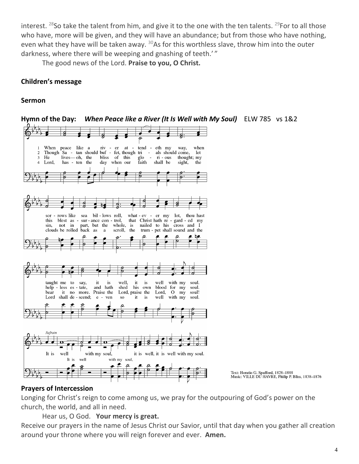interest. <sup>28</sup>So take the talent from him, and give it to the one with the ten talents. <sup>29</sup>For to all those who have, more will be given, and they will have an abundance; but from those who have nothing, even what they have will be taken away.  $30$ As for this worthless slave, throw him into the outer darkness, where there will be weeping and gnashing of teeth.'"

The good news of the Lord. **Praise to you, O Christ.**

## **Children's message**

#### **Sermon**



**Hymn of the Day:** *When Peace like a River (It Is Well with My Soul)* ELW 785 vs 1&2

#### **Prayers of Intercession**

Longing for Christ's reign to come among us, we pray for the outpouring of God's power on the church, the world, and all in need.

Hear us, O God. **Your mercy is great.**

Receive our prayers in the name of Jesus Christ our Savior, until that day when you gather all creation around your throne where you will reign forever and ever. **Amen.**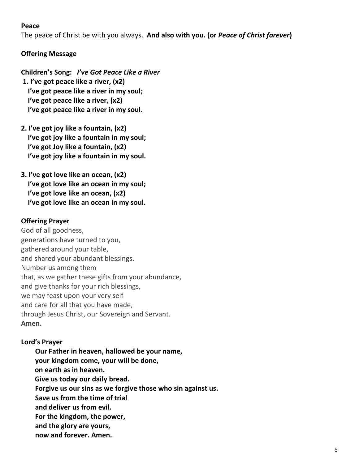#### **Peace**

The peace of Christ be with you always. **And also with you. (or** *Peace of Christ forever***)**

## **Offering Message**

- **Children's Song:** *I've Got Peace Like a River* **1. I've got peace like a river, (x2) I've got peace like a river in my soul; I've got peace like a river, (x2) I've got peace like a river in my soul.**
- **2. I've got joy like a fountain, (x2) I've got joy like a fountain in my soul; I've got Joy like a fountain, (x2) I've got joy like a fountain in my soul.**
- **3. I've got love like an ocean, (x2) I've got love like an ocean in my soul; I've got love like an ocean, (x2) I've got love like an ocean in my soul.**

## **Offering Prayer**

God of all goodness, generations have turned to you, gathered around your table, and shared your abundant blessings. Number us among them that, as we gather these gifts from your abundance, and give thanks for your rich blessings, we may feast upon your very self and care for all that you have made, through Jesus Christ, our Sovereign and Servant. **Amen.**

## **Lord's Prayer**

**Our Father in heaven, hallowed be your name, your kingdom come, your will be done, on earth as in heaven. Give us today our daily bread. Forgive us our sins as we forgive those who sin against us. Save us from the time of trial and deliver us from evil. For the kingdom, the power, and the glory are yours, now and forever. Amen.**